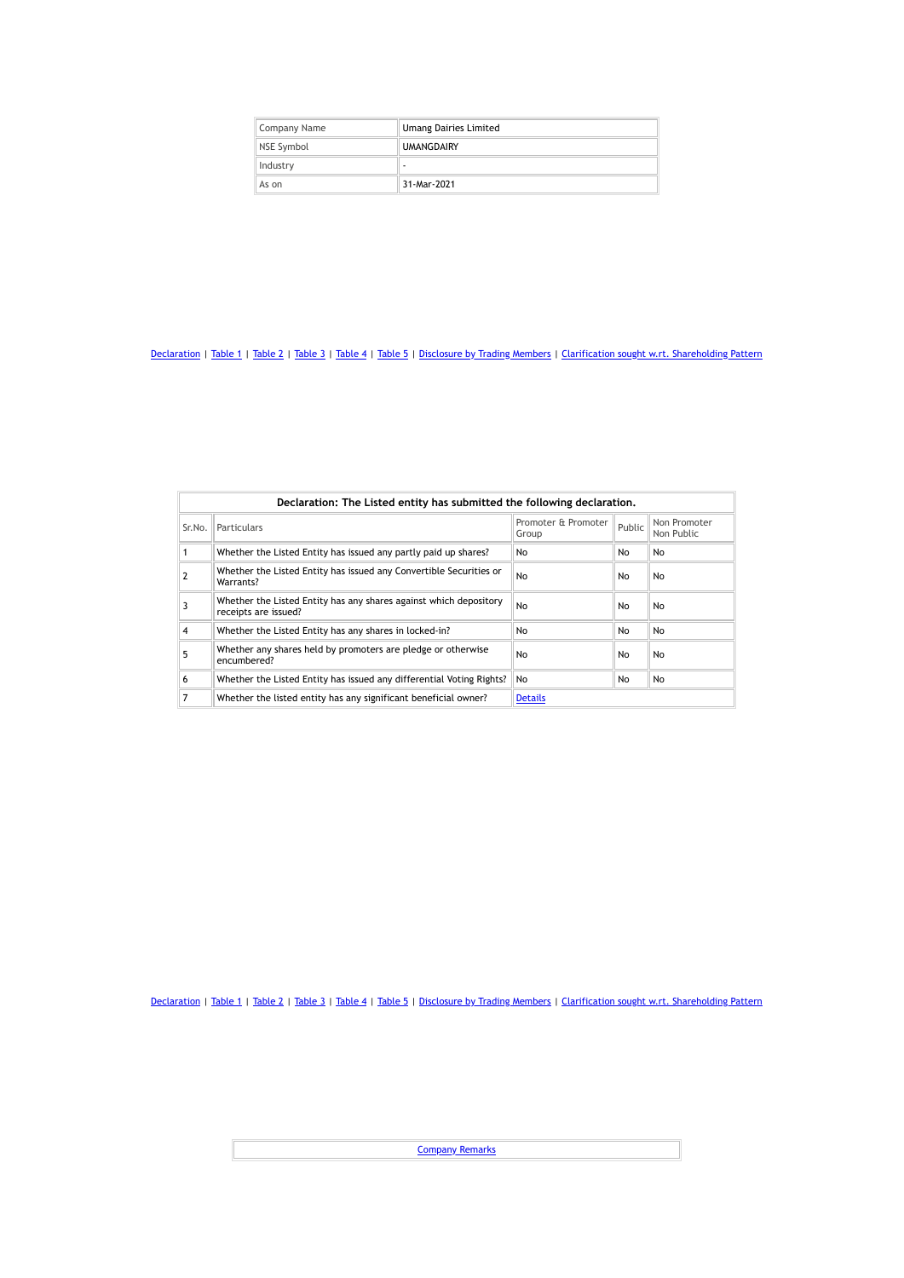| Company Name | <b>Umang Dairies Limited</b> |
|--------------|------------------------------|
| NSE Symbol   | <b>UMANGDAIRY</b>            |
| Industry     | ۰                            |
| As on        | 31-Mar-2021                  |

|        | Declaration: The Listed entity has submitted the following declaration.                   |                              |        |                            |  |  |  |  |
|--------|-------------------------------------------------------------------------------------------|------------------------------|--------|----------------------------|--|--|--|--|
| Sr.No. | <b>Particulars</b>                                                                        | Promoter & Promoter<br>Group | Public | Non Promoter<br>Non Public |  |  |  |  |
|        | Whether the Listed Entity has issued any partly paid up shares?                           | No                           | No     | No                         |  |  |  |  |
|        | Whether the Listed Entity has issued any Convertible Securities or<br>Warrants?           | No                           | No     | No                         |  |  |  |  |
| 3      | Whether the Listed Entity has any shares against which depository<br>receipts are issued? | No                           | No     | No                         |  |  |  |  |
| 4      | Whether the Listed Entity has any shares in locked-in?                                    | No                           | No     | <b>No</b>                  |  |  |  |  |
| 5      | Whether any shares held by promoters are pledge or otherwise<br>encumbered?               | No                           | No     | No                         |  |  |  |  |
| 6      | Whether the Listed Entity has issued any differential Voting Rights?                      | No                           | No     | No                         |  |  |  |  |
|        | Whether the listed entity has any significant beneficial owner?                           | <b>Details</b>               |        |                            |  |  |  |  |

[Declaration](https://www1.nseindia.com/corporates/shldStructure/patterns.html?radio_btn=company¶m=UMANGDAIRY#) | [Table](https://www1.nseindia.com/corporates/shldStructure/patterns.html?radio_btn=company¶m=UMANGDAIRY#) 1 | Table 2 | Table 3 | Table 4 | Table 5 | [Disclosure](https://www1.nseindia.com/corporates/shldStructure/patterns.html?radio_btn=company¶m=UMANGDAIRY#) by Trading Members | Clarification sought w.rt. [Shareholding](https://www1.nseindia.com/corporates/shldStructure/patterns.html?radio_btn=company¶m=UMANGDAIRY#) Pattern

**[Company](https://www1.nseindia.com/corporates/shldStructure/patterns.html?radio_btn=company¶m=UMANGDAIRY#) Remarks**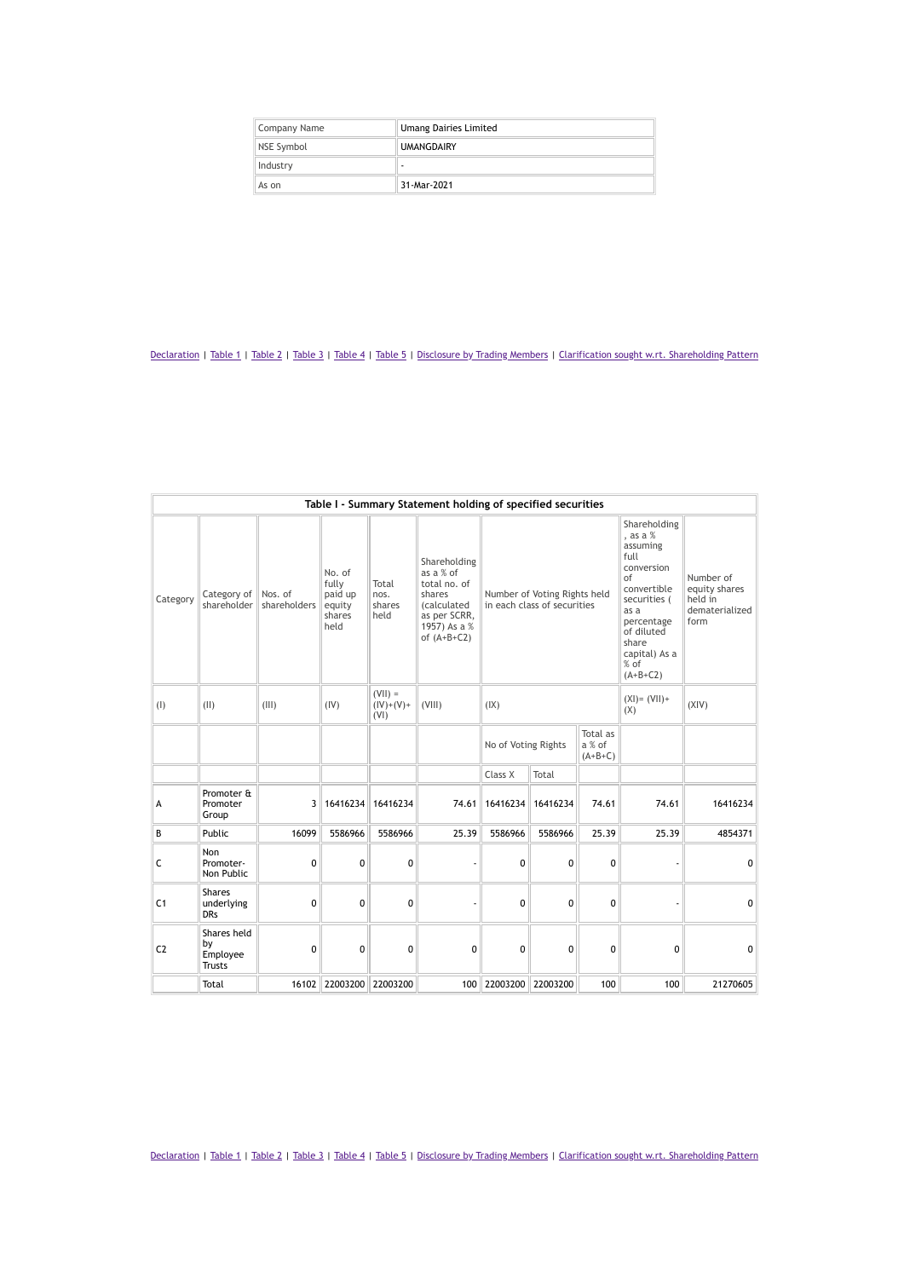| Company Name      | <b>Umang Dairies Limited</b> |  |  |  |
|-------------------|------------------------------|--|--|--|
| <b>NSE Symbol</b> | <b>UMANGDAIRY</b>            |  |  |  |
| Industry          | ۰                            |  |  |  |
| As on             | 31-Mar-2021                  |  |  |  |

|                | Table I - Summary Statement holding of specified securities |                         |                                                        |                                  |                                                                                                                     |                                                             |          |                                                                                                                                                                                       |                                                                 |              |
|----------------|-------------------------------------------------------------|-------------------------|--------------------------------------------------------|----------------------------------|---------------------------------------------------------------------------------------------------------------------|-------------------------------------------------------------|----------|---------------------------------------------------------------------------------------------------------------------------------------------------------------------------------------|-----------------------------------------------------------------|--------------|
| Category       | Category of<br>shareholder                                  | Nos. of<br>shareholders | No. of<br>fully<br>paid up<br>equity<br>shares<br>held | Total<br>nos.<br>shares<br>held  | Shareholding<br>as a % of<br>total no. of<br>shares<br>(calculated<br>as per SCRR,<br>1957) As a %<br>of $(A+B+C2)$ | Number of Voting Rights held<br>in each class of securities |          | Shareholding<br>, as a $%$<br>assuming<br>full<br>conversion<br>of<br>convertible<br>securities (<br>as a<br>percentage<br>of diluted<br>share<br>capital) As a<br>% of<br>$(A+B+C2)$ | Number of<br>equity shares<br>held in<br>dematerialized<br>form |              |
| (1)            | (11)                                                        | (III)                   | (IV)                                                   | $(VII) =$<br>$(IV)+(V)+$<br>(VI) | (VIII)                                                                                                              | (IX)                                                        |          |                                                                                                                                                                                       | $(XI) = (VII) +$<br>(X)                                         | (XIV)        |
|                |                                                             |                         |                                                        |                                  |                                                                                                                     | No of Voting Rights                                         |          | Total as<br>a % of<br>$(A+B+C)$                                                                                                                                                       |                                                                 |              |
|                |                                                             |                         |                                                        |                                  |                                                                                                                     | Class X                                                     | Total    |                                                                                                                                                                                       |                                                                 |              |
| A              | Promoter &<br>Promoter<br>Group                             | 3                       | 16416234                                               | 16416234                         | 74.61                                                                                                               | 16416234                                                    | 16416234 | 74.61                                                                                                                                                                                 | 74.61                                                           | 16416234     |
| B              | Public                                                      | 16099                   | 5586966                                                | 5586966                          | 25.39                                                                                                               | 5586966                                                     | 5586966  | 25.39                                                                                                                                                                                 | 25.39                                                           | 4854371      |
| C              | Non<br>Promoter-<br>Non Public                              | 0                       | 0                                                      | $\mathbf 0$                      |                                                                                                                     | $\mathbf 0$                                                 | 0        | 0                                                                                                                                                                                     |                                                                 | $\mathbf{0}$ |
| C <sub>1</sub> | <b>Shares</b><br>underlying<br><b>DRs</b>                   | 0                       | 0                                                      | $\mathbf 0$                      |                                                                                                                     | 0                                                           | 0        | 0                                                                                                                                                                                     |                                                                 | $\mathbf{0}$ |
| C <sub>2</sub> | Shares held<br>by<br>Employee<br><b>Trusts</b>              | 0                       | 0                                                      | 0                                | 0                                                                                                                   | 0                                                           | 0        | 0                                                                                                                                                                                     | 0                                                               | 0            |
|                | Total                                                       | 16102                   | 22003200                                               | 22003200                         |                                                                                                                     | 100 22003200 22003200                                       |          | 100                                                                                                                                                                                   | 100                                                             | 21270605     |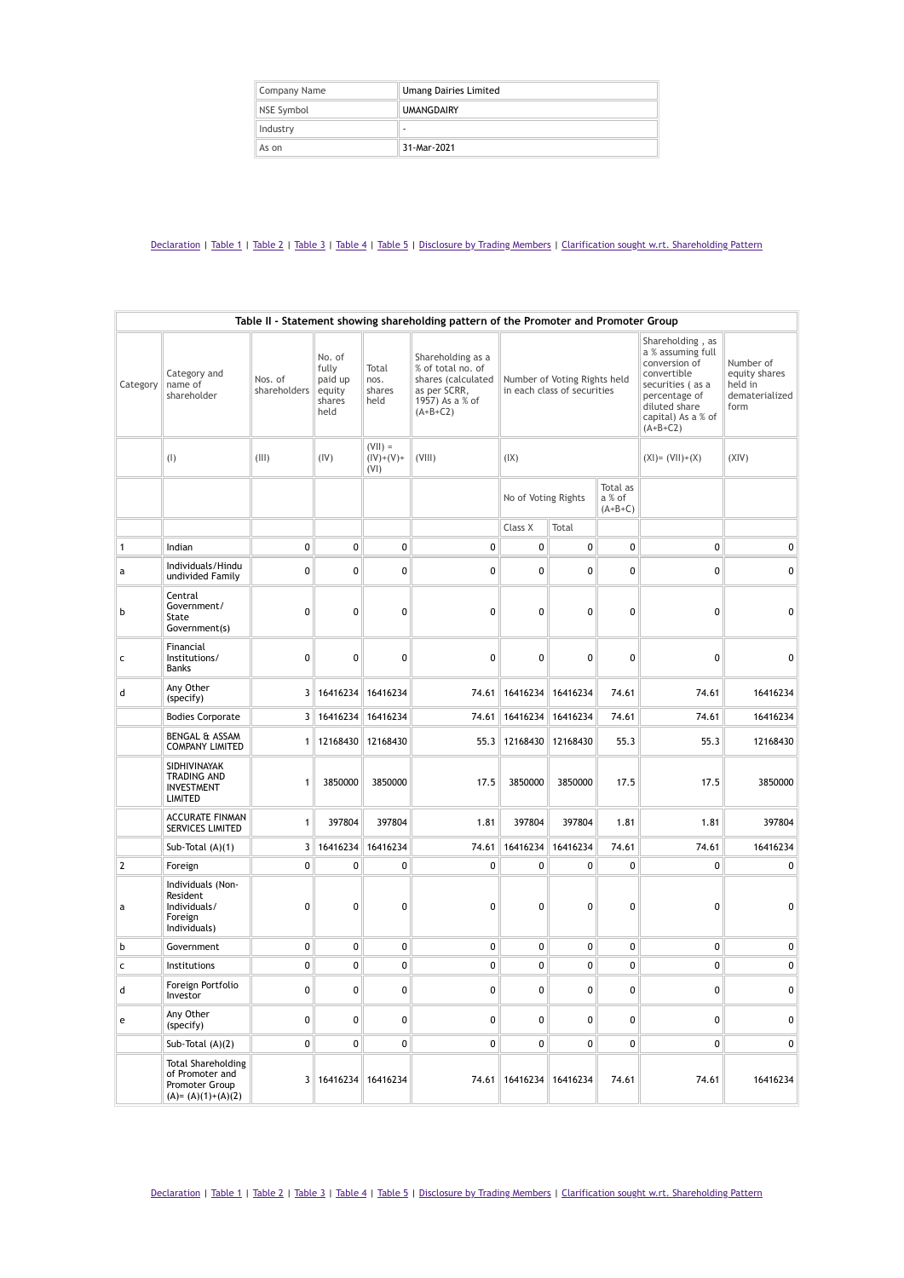| Company Name | <b>Umang Dairies Limited</b> |
|--------------|------------------------------|
| NSE Symbol   | <b>UMANGDAIRY</b>            |
| Industry     | ۰                            |
| As on        | 31-Mar-2021                  |

|              | Table II - Statement showing shareholding pattern of the Promoter and Promoter Group    |                         |                                                        |                                  |                                                                                                               |                                                             |          |                                                                                                                                                                 |                                                                 |           |
|--------------|-----------------------------------------------------------------------------------------|-------------------------|--------------------------------------------------------|----------------------------------|---------------------------------------------------------------------------------------------------------------|-------------------------------------------------------------|----------|-----------------------------------------------------------------------------------------------------------------------------------------------------------------|-----------------------------------------------------------------|-----------|
| Category     | Category and<br>name of<br>shareholder                                                  | Nos. of<br>shareholders | No. of<br>fully<br>paid up<br>equity<br>shares<br>held | Total<br>nos.<br>shares<br>held  | Shareholding as a<br>% of total no. of<br>shares (calculated<br>as per SCRR,<br>1957) As a % of<br>$(A+B+C2)$ | Number of Voting Rights held<br>in each class of securities |          | Shareholding, as<br>a % assuming full<br>conversion of<br>convertible<br>securities (as a<br>percentage of<br>diluted share<br>capital) As a % of<br>$(A+B+C2)$ | Number of<br>equity shares<br>held in<br>dematerialized<br>form |           |
|              | (1)                                                                                     | (III)                   | (IV)                                                   | $(VII) =$<br>$(IV)+(V)+$<br>(VI) | (VIII)                                                                                                        | (IX)                                                        |          |                                                                                                                                                                 | $(XI) = (VII)+(X)$                                              | (XIV)     |
|              |                                                                                         |                         |                                                        |                                  |                                                                                                               | No of Voting Rights                                         |          | Total as<br>a % of<br>$(A+B+C)$                                                                                                                                 |                                                                 |           |
|              |                                                                                         |                         |                                                        |                                  |                                                                                                               | Class X                                                     | Total    |                                                                                                                                                                 |                                                                 |           |
| $\mathbf{1}$ | Indian                                                                                  | $\pmb{0}$               | 0                                                      | $\mathbf 0$                      | 0                                                                                                             | $\pmb{0}$                                                   | 0        | 0                                                                                                                                                               | 0                                                               | 0         |
| а            | Individuals/Hindu<br>undivided Family                                                   | 0                       | 0                                                      | 0                                | 0                                                                                                             | 0                                                           | 0        | 0                                                                                                                                                               | 0                                                               | $\pmb{0}$ |
| b            | Central<br>Government/<br>State<br>Government(s)                                        | 0                       | 0                                                      | 0                                | 0                                                                                                             | 0                                                           | 0        | 0                                                                                                                                                               | 0                                                               | 0         |
| c            | Financial<br>Institutions/<br>Banks                                                     | $\mathbf 0$             | 0                                                      | 0                                | 0                                                                                                             | 0                                                           | 0        | $\mathbf{0}$                                                                                                                                                    | 0                                                               | 0         |
| d            | Any Other<br>(specify)                                                                  |                         | 3 16416234                                             | 16416234                         | 74.61                                                                                                         | 16416234                                                    | 16416234 | 74.61                                                                                                                                                           | 74.61                                                           | 16416234  |
|              | <b>Bodies Corporate</b>                                                                 |                         | 3 16416234                                             | 16416234                         | 74.61                                                                                                         | 16416234                                                    | 16416234 | 74.61                                                                                                                                                           | 74.61                                                           | 16416234  |
|              | BENGAL & ASSAM<br><b>COMPANY LIMITED</b>                                                |                         | 1 12168430                                             | 12168430                         | 55.3                                                                                                          | 12168430                                                    | 12168430 | 55.3                                                                                                                                                            | 55.3                                                            | 12168430  |
|              | SIDHIVINAYAK<br>TRADING AND<br><b>INVESTMENT</b><br><b>LIMITED</b>                      | 1                       | 3850000                                                | 3850000                          | 17.5                                                                                                          | 3850000                                                     | 3850000  | 17.5                                                                                                                                                            | 17.5                                                            | 3850000   |
|              | <b>ACCURATE FINMAN</b><br>SERVICES LIMITED                                              | $\mathbf{1}$            | 397804                                                 | 397804                           | 1.81                                                                                                          | 397804                                                      | 397804   | 1.81                                                                                                                                                            | 1.81                                                            | 397804    |
|              | Sub-Total (A)(1)                                                                        |                         | 3 16416234                                             | 16416234                         | 74.61                                                                                                         | 16416234                                                    | 16416234 | 74.61                                                                                                                                                           | 74.61                                                           | 16416234  |
| $\sqrt{2}$   | Foreign                                                                                 | $\pmb{0}$               | 0                                                      | 0                                | 0                                                                                                             | 0                                                           | 0        | 0                                                                                                                                                               | 0                                                               | 0         |
| a            | Individuals (Non-<br>Resident<br>Individuals/<br>Foreign<br>Individuals)                | 0                       | 0                                                      | 0                                | 0                                                                                                             | $\mathbf{0}$                                                | 0        | 0                                                                                                                                                               | 0                                                               | 0         |
| b            | Government                                                                              | $\pmb{0}$               | 0                                                      | 0                                | 0                                                                                                             | $\pmb{0}$                                                   | 0        | 0                                                                                                                                                               | $\pmb{0}$                                                       | 0         |
| $\mathsf{C}$ | Institutions                                                                            | $\pmb{0}$               | 0                                                      | 0                                | 0                                                                                                             | $\pmb{0}$                                                   | 0        | 0                                                                                                                                                               | 0                                                               | $\pmb{0}$ |
| a            | Foreign Portfolio<br>Investor                                                           | 0                       | 0                                                      | 0                                | 0                                                                                                             | $\pmb{0}$                                                   | 0        | 0                                                                                                                                                               | 0                                                               | 0         |
| e            | Any Other<br>(specify)                                                                  | 0                       | 0                                                      | 0                                | 0                                                                                                             | 0                                                           | 0        | 0                                                                                                                                                               | 0                                                               | 0         |
|              | Sub-Total $(A)(2)$                                                                      | 0                       | 0                                                      | 0                                | 0                                                                                                             | 0                                                           | 0        | 0                                                                                                                                                               | 0                                                               | 0         |
|              | <b>Total Shareholding</b><br>of Promoter and<br>Promoter Group<br>$(A) = (A)(1)+(A)(2)$ |                         | 3   16416234   16416234                                |                                  | 74.61                                                                                                         | 16416234                                                    | 16416234 | 74.61                                                                                                                                                           | 74.61                                                           | 16416234  |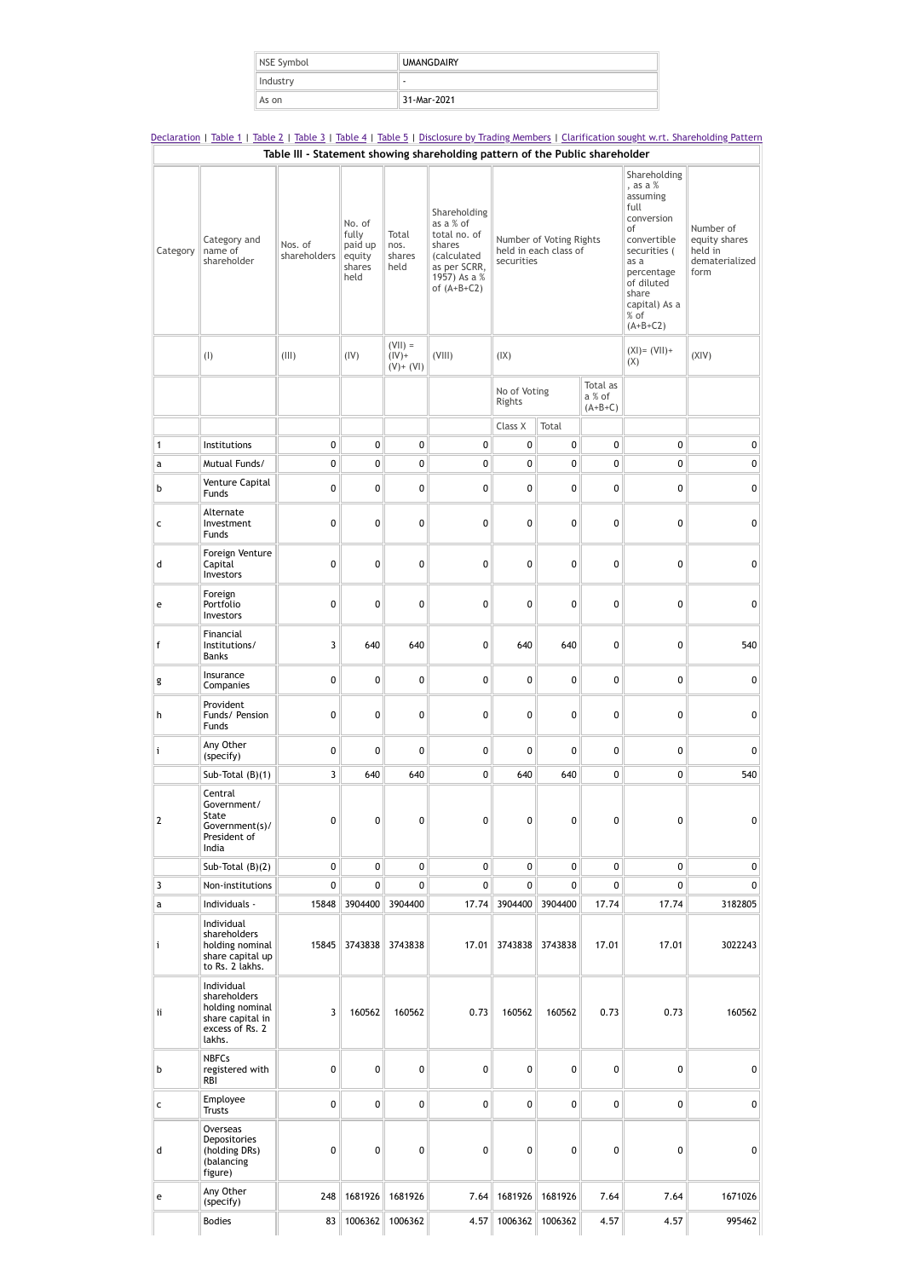| NSE Symbol | <b>UMANGDAIRY</b> |
|------------|-------------------|
| Industry   | ۰                 |
| As on      | 31-Mar-2021       |

[Declaration](https://www1.nseindia.com/corporates/shldStructure/patterns.html?radio_btn=company¶m=UMANGDAIRY#) | [Table](https://www1.nseindia.com/corporates/shldStructure/patterns.html?radio_btn=company¶m=UMANGDAIRY#) 1 | Table 2 | Table 3 | Table 4 | Table 5 | [Disclosure](https://www1.nseindia.com/corporates/shldStructure/patterns.html?radio_btn=company¶m=UMANGDAIRY#) by Trading Members | Clarification sought w.rt. [Shareholding](https://www1.nseindia.com/corporates/shldStructure/patterns.html?radio_btn=company¶m=UMANGDAIRY#) Pattern **Table III - Statement showing shareholding pattern of the Public shareholder**

| Category     | Category and<br>name of<br>shareholder                                                         | Nos. of<br>shareholders | No. of<br>fully<br>paid up<br>equity<br>shares<br>held | Total<br>nos.<br>shares<br>held         | Shareholding<br>as a % of<br>total no. of<br>shares<br><i>(calculated</i><br>as per SCRR,<br>1957) As a %<br>of $(A+B+C2)$ | Number of Voting Rights<br>held in each class of<br>securities |                 | Shareholding<br>, as a $%$<br>assuming<br>full<br>conversion<br>of<br>convertible<br>securities (<br>as a<br>percentage<br>of diluted<br>share<br>capital) As a<br>% of<br>$(A+B+C2)$ | Number of<br>equity shares<br>held in<br>dematerialized<br>form |             |
|--------------|------------------------------------------------------------------------------------------------|-------------------------|--------------------------------------------------------|-----------------------------------------|----------------------------------------------------------------------------------------------------------------------------|----------------------------------------------------------------|-----------------|---------------------------------------------------------------------------------------------------------------------------------------------------------------------------------------|-----------------------------------------------------------------|-------------|
|              | (1)                                                                                            | (III)                   | (IV)                                                   | $(VII) =$<br>$(IV)$ +<br>$(V)$ + $(VI)$ | (VIII)                                                                                                                     | (IX)                                                           |                 |                                                                                                                                                                                       | $(XI) = (VII) +$<br>(X)                                         | (XIV)       |
|              |                                                                                                |                         |                                                        |                                         |                                                                                                                            | No of Voting<br>Rights                                         |                 | Total as<br>a % of<br>$(A+B+C)$                                                                                                                                                       |                                                                 |             |
|              |                                                                                                |                         |                                                        |                                         |                                                                                                                            | Class X                                                        | Total           |                                                                                                                                                                                       |                                                                 |             |
| $\mathbf{1}$ | Institutions                                                                                   | 0                       | $\pmb{0}$                                              | 0                                       | $\pmb{0}$                                                                                                                  | 0                                                              | 0               | 0                                                                                                                                                                                     | 0                                                               | 0           |
| a            | Mutual Funds/                                                                                  | 0                       | 0                                                      | 0                                       | $\mathbf 0$                                                                                                                | 0                                                              | 0               | $\mathbf 0$                                                                                                                                                                           | 0                                                               | $\pmb{0}$   |
| b            | Venture Capital<br>Funds                                                                       | 0                       | 0                                                      | 0                                       | 0                                                                                                                          | 0                                                              | 0               | 0                                                                                                                                                                                     | 0                                                               | 0           |
| c            | Alternate<br>Investment<br>Funds                                                               | $\mathbf 0$             | 0                                                      | 0                                       | $\mathbf 0$                                                                                                                | 0                                                              | 0               | $\mathbf 0$                                                                                                                                                                           | $\mathbf 0$                                                     | $\pmb{0}$   |
| d            | Foreign Venture<br>Capital<br>Investors                                                        | $\mathbf 0$             | 0                                                      | 0                                       | $\pmb{0}$                                                                                                                  | 0                                                              | 0               | 0                                                                                                                                                                                     | 0                                                               | 0           |
| e            | Foreign<br>Portfolio<br>Investors                                                              | $\mathbf 0$             | 0                                                      | 0                                       | $\pmb{0}$                                                                                                                  | 0                                                              | 0               | $\pmb{0}$                                                                                                                                                                             | 0                                                               | 0           |
| f            | Financial<br>Institutions/<br><b>Banks</b>                                                     | 3                       | 640                                                    | 640                                     | 0                                                                                                                          | 640                                                            | 640             | 0                                                                                                                                                                                     | 0                                                               | 540         |
| g            | Insurance<br>Companies                                                                         | 0                       | 0                                                      | 0                                       | 0                                                                                                                          | 0                                                              | 0               | 0                                                                                                                                                                                     | $\mathbf 0$                                                     | 0           |
| h            | Provident<br>Funds/ Pension<br>Funds                                                           | 0                       | 0                                                      | 0                                       | $\pmb{0}$                                                                                                                  | 0                                                              | 0               | 0                                                                                                                                                                                     | 0                                                               | 0           |
| i            | Any Other<br>(specify)                                                                         | $\mathbf 0$             | 0                                                      | 0                                       | $\pmb{0}$                                                                                                                  | 0                                                              | 0               | $\pmb{0}$                                                                                                                                                                             | $\pmb{0}$                                                       | $\mathbf 0$ |
|              | Sub-Total $(B)(1)$                                                                             | 3                       | 640                                                    | 640                                     | $\pmb{0}$                                                                                                                  | 640                                                            | 640             | $\pmb{0}$                                                                                                                                                                             | $\mathbf 0$                                                     | 540         |
| $\mathbf{2}$ | Central<br>Government/<br>State<br>Government(s)/<br>President of<br>India                     | 0                       | 0                                                      | 0                                       | 0                                                                                                                          | 0                                                              | 0               | 0                                                                                                                                                                                     | 0                                                               | 0           |
|              | Sub-Total $(B)(2)$                                                                             | 0                       | 0                                                      | 0                                       | 0                                                                                                                          | 0                                                              | 0               | 0                                                                                                                                                                                     | $\mathbf 0$                                                     | 0           |
| 3            | Non-institutions                                                                               | 0                       | 0                                                      | 0                                       | $\mathbf{0}$                                                                                                               | 0                                                              | 0               | $\overline{0}$                                                                                                                                                                        | 0                                                               | 0           |
| a            | Individuals -                                                                                  | 15848                   | 3904400                                                | 3904400                                 | 17.74                                                                                                                      | 3904400                                                        | 3904400         | 17.74                                                                                                                                                                                 | 17.74                                                           | 3182805     |
| i            | Individual<br>shareholders<br>holding nominal<br>share capital up<br>to Rs. 2 lakhs.           | 15845                   | 3743838                                                | 3743838                                 | 17.01                                                                                                                      |                                                                | 3743838 3743838 | 17.01                                                                                                                                                                                 | 17.01                                                           | 3022243     |
| ii           | Individual<br>shareholders<br>holding nominal<br>share capital in<br>excess of Rs. 2<br>lakhs. | 3                       | 160562                                                 | 160562                                  | 0.73                                                                                                                       | 160562                                                         | 160562          | 0.73                                                                                                                                                                                  | 0.73                                                            | 160562      |
| b            | <b>NBFCs</b><br>registered with<br>RBI                                                         | $\mathbf 0$             | 0                                                      | 0                                       | $\pmb{0}$                                                                                                                  | 0                                                              | 0               | $\mathbf{0}$                                                                                                                                                                          | $\mathbf{0}$                                                    | 0           |
| c            | Employee<br><b>Trusts</b>                                                                      | 0                       | 0                                                      | 0                                       | 0                                                                                                                          | 0                                                              | 0               | 0                                                                                                                                                                                     | 0                                                               | 0           |
| d            | Overseas<br>Depositories<br>(holding DRs)<br>(balancing<br>figure)                             | 0                       | 0                                                      | 0                                       | 0                                                                                                                          | 0                                                              | 0               | 0                                                                                                                                                                                     | 0                                                               | 0           |
| e            | Any Other<br>(specify)                                                                         | 248                     |                                                        | 1681926 1681926                         | 7.64                                                                                                                       | 1681926                                                        | 1681926         | 7.64                                                                                                                                                                                  | 7.64                                                            | 1671026     |
|              | <b>Bodies</b>                                                                                  | 83                      |                                                        | 1006362 1006362                         | 4.57                                                                                                                       |                                                                | 1006362 1006362 | 4.57                                                                                                                                                                                  | 4.57                                                            | 995462      |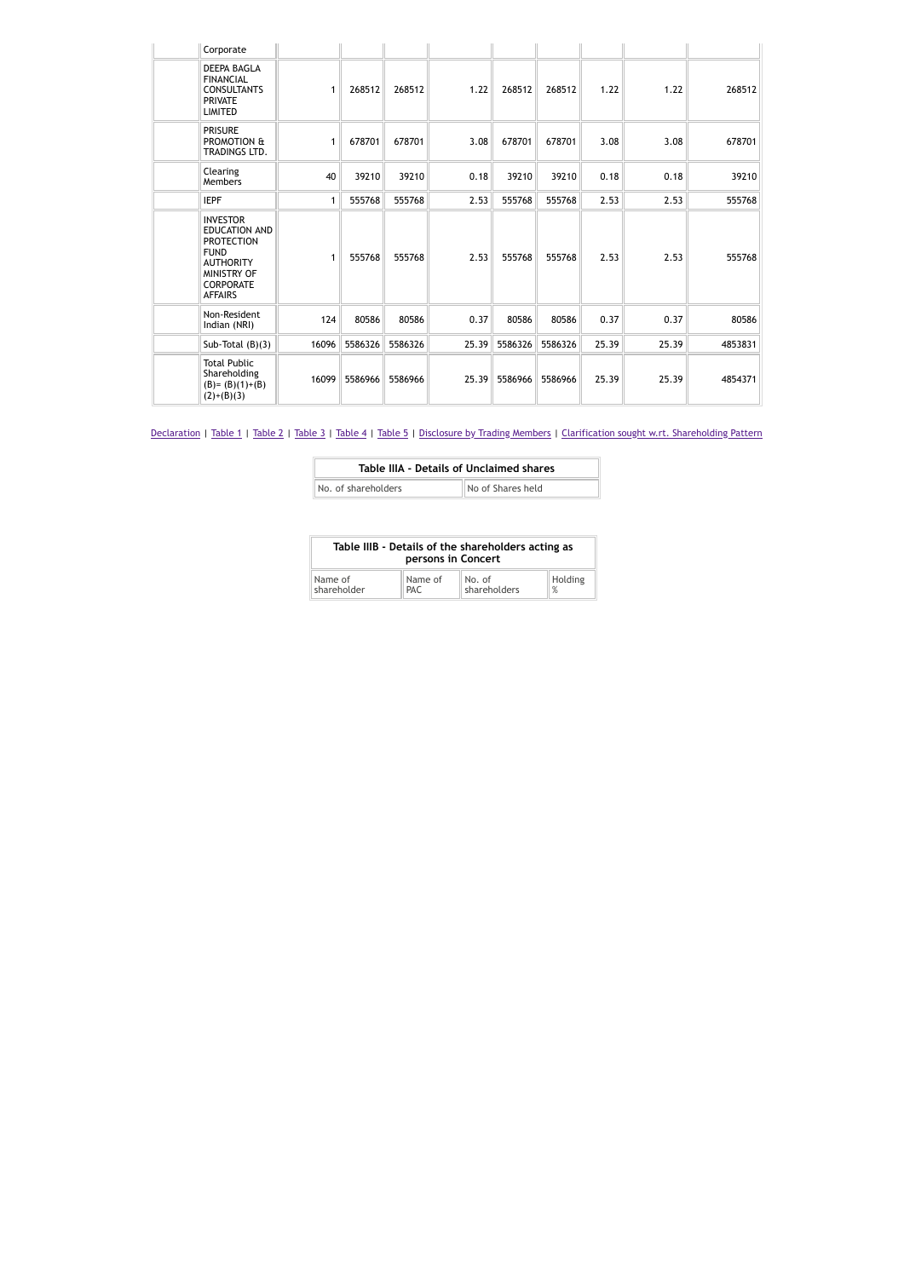| Corporate                                                                                                                                            |       |         |         |      |               |         |       |       |         |
|------------------------------------------------------------------------------------------------------------------------------------------------------|-------|---------|---------|------|---------------|---------|-------|-------|---------|
| <b>DEEPA BAGLA</b><br><b>FINANCIAL</b><br><b>CONSULTANTS</b><br><b>PRIVATE</b><br><b>LIMITED</b>                                                     | 1     | 268512  | 268512  | 1.22 | 268512        | 268512  | 1.22  | 1.22  | 268512  |
| <b>PRISURE</b><br>PROMOTION &<br>TRADINGS LTD.                                                                                                       | 1     | 678701  | 678701  | 3.08 | 678701        | 678701  | 3.08  | 3.08  | 678701  |
| Clearing<br>Members                                                                                                                                  | 40    | 39210   | 39210   | 0.18 | 39210         | 39210   | 0.18  | 0.18  | 39210   |
| <b>IEPF</b>                                                                                                                                          | 1     | 555768  | 555768  | 2.53 | 555768        | 555768  | 2.53  | 2.53  | 555768  |
| <b>INVESTOR</b><br><b>EDUCATION AND</b><br><b>PROTECTION</b><br><b>FUND</b><br><b>AUTHORITY</b><br>MINISTRY OF<br><b>CORPORATE</b><br><b>AFFAIRS</b> | 1     | 555768  | 555768  | 2.53 | 555768        | 555768  | 2.53  | 2.53  | 555768  |
| Non-Resident<br>Indian (NRI)                                                                                                                         | 124   | 80586   | 80586   | 0.37 | 80586         | 80586   | 0.37  | 0.37  | 80586   |
| Sub-Total $(B)(3)$                                                                                                                                   | 16096 | 5586326 | 5586326 |      | 25.39 5586326 | 5586326 | 25.39 | 25.39 | 4853831 |
| <b>Total Public</b><br>Shareholding<br>$(B)=(B)(1)+(B)$<br>$(2)+(B)(3)$                                                                              | 16099 | 5586966 | 5586966 |      | 25.39 5586966 | 5586966 | 25.39 | 25.39 | 4854371 |

| Table IIIA - Details of Unclaimed shares |                   |
|------------------------------------------|-------------------|
| No. of shareholders                      | No of Shares held |

| Table IIIB - Details of the shareholders acting as<br>persons in Concert |         |              |         |  |  |  |
|--------------------------------------------------------------------------|---------|--------------|---------|--|--|--|
| Name of                                                                  | Name of | No. of       | Holding |  |  |  |
| shareholder                                                              | PAC.    | shareholders | $\%$    |  |  |  |